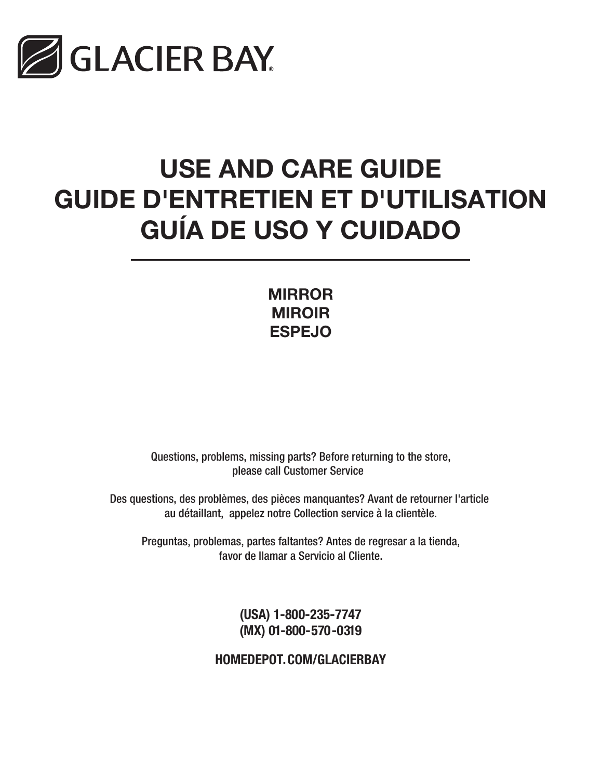

# USE AND CARE GUIDE GUIDE D'ENTRETIEN ET D'UTILISATION GUÍA DE USO Y CUIDADO

MIRROR MIROIR ESPEJO

Questions, problems, missing parts? Before returning to the store, please call Customer Service

Des questions, des problèmes, des pièces manquantes? Avant de retourner l'article au détaillant, appelez notre Collection service à la clientèle.

Preguntas, problemas, partes faltantes? Antes de regresar a la tienda, favor de llamar a Servicio al Cliente.

> (USA) 1-800-235-7747 (MX) 01-800-570-0319

HOMEDEPOT.COM/GLACIERBAY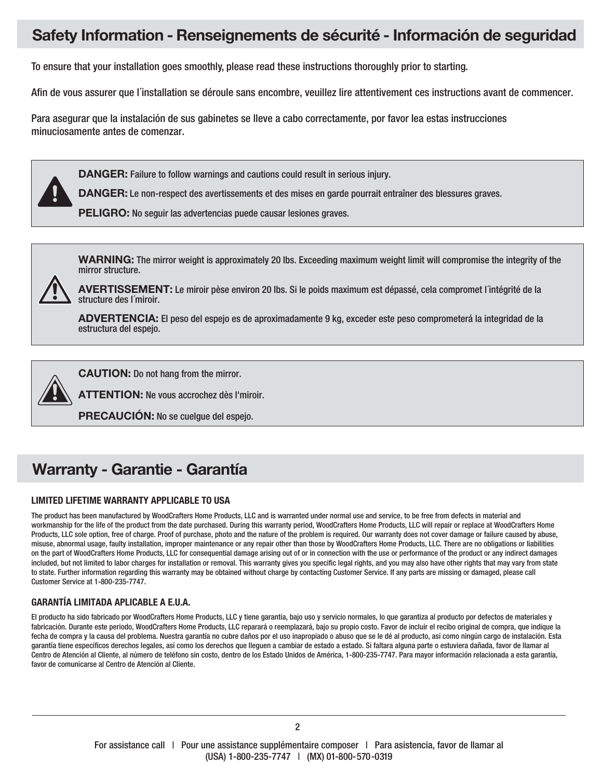### Safety Information - Renseignements de sécurité - Información de seguridad

To ensure that your installation goes smoothly, please read these instructions thoroughly prior to starting.

Afin de vous assurer que l´installation se déroule sans encombre, veuillez lire attentivement ces instructions avant de commencer.

Para asegurar que la instalación de sus gabinetes se lleve a cabo correctamente, por favor lea estas instrucciones minuciosamente antes de comenzar.

DANGER: Failure to follow warnings and cautions could result in serious injury.

DANGER: Le non-respect des avertissements et des mises en garde pourrait entraîner des blessures graves.

PELIGRO: No seguir las advertencias puede causar lesiones graves.

WARNING: The mirror weight is approximately 20 lbs. Exceeding maximum weight limit will compromise the integrity of the mirror structure.



ADVERTENCIA: El peso del espejo es de aproximadamente 9 kg, exceder este peso comprometerá la integridad de la estructura del espejo.



CAUTION: Do not hang from the mirror.

ATTENTION: Ne vous accrochez dès l'miroir.

PRECAUCIÓN: No se cuelgue del espejo.

## Warranty - Garantie - Garantía

#### LIMITED LIFETIME WARRANTY APPLICABLE TO USA

The product has been manufactured by WoodCrafters Home Products, LLC and is warranted under normal use and service, to be free from defects in material and workmanship for the life of the product from the date purchased. During this warranty period, WoodCrafters Home Products, LLC will repair or replace at WoodCrafters Home Products, LLC sole option, free of charge. Proof of purchase, photo and the nature of the problem is required. Our warranty does not cover damage or failure caused by abuse, misuse, abnormal usage, faulty installation, improper maintenance or any repair other than those by WoodCrafters Home Products, LLC. There are no obligations or liabilities on the part of WoodCrafters Home Products, LLC for consequential damage arising out of or in connection with the use or performance of the product or any indirect damages included, but not limited to labor charges for installation or removal. This warranty gives you specific legal rights, and you may also have other rights that may vary from state to state. Further information regarding this warranty may be obtained without charge by contacting Customer Service. If any parts are missing or damaged, please call Customer Service at 1-800-235-7747.

#### GARANTÍA LIMITADA APLICABLE A E.U.A.

El producto ha sido fabricado por WoodCrafters Home Products, LLC y tiene garantía, bajo uso y servicio normales, lo que garantiza al producto por defectos de materiales y fabricación. Durante este periodo, WoodCrafters Home Products, LLC reparará o reemplazará, bajo su propio costo. Favor de incluir el recibo original de compra, que indique la fecha de compra y la causa del problema. Nuestra garantía no cubre daños por el uso inapropiado o abuso que se le dé al producto, así como ningún cargo de instalación. Esta garantía tiene específicos derechos legales, así como los derechos que lleguen a cambiar de estado a estado. Si faltara alguna parte o estuviera dañada, favor de llamar al Centro de Atención al Cliente, al número de teléfono sin costo, dentro de los Estado Unidos de América, 1-800-235-7747. Para mayor información relacionada a esta garantía, favor de comunicarse al Centro de Atención al Cliente.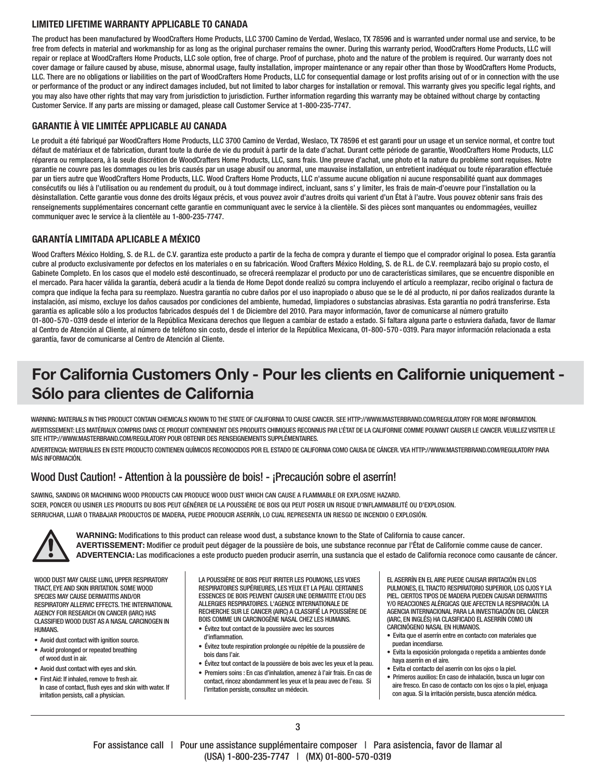#### LIMITED LIFETIME WARRANTY APPLICABLE TO CANADA

The product has been manufactured by WoodCrafters Home Products, LLC 3700 Camino de Verdad, Weslaco, TX 78596 and is warranted under normal use and service, to be free from defects in material and workmanship for as long as the original purchaser remains the owner. During this warranty period, WoodCrafters Home Products, LLC will repair or replace at WoodCrafters Home Products, LLC sole option, free of charge. Proof of purchase, photo and the nature of the problem is required. Our warranty does not cover damage or failure caused by abuse, misuse, abnormal usage, faulty installation, improper maintenance or any repair other than those by WoodCrafters Home Products, LLC. There are no obligations or liabilities on the part of WoodCrafters Home Products, LLC for consequential damage or lost profits arising out of or in connection with the use or performance of the product or any indirect damages included, but not limited to labor charges for installation or removal. This warranty gives you specific legal rights, and you may also have other rights that may vary from jurisdiction to jurisdiction. Further information regarding this warranty may be obtained without charge by contacting Customer Service. If any parts are missing or damaged, please call Customer Service at 1-800-235-7747.

#### GARANTIE À VIE LIMITÉE APPLICABLE AU CANADA

Le produit a été fabriqué par WoodCrafters Home Products, LLC 3700 Camino de Verdad, Weslaco, TX 78596 et est garanti pour un usage et un service normal, et contre tout défaut de matériaux et de fabrication, durant toute la durée de vie du produit à partir de la date d'achat. Durant cette période de garantie, WoodCrafters Home Products, LLC réparera ou remplacera, à la seule discrétion de WoodCrafters Home Products, LLC, sans frais. Une preuve d'achat, une photo et la nature du problème sont requises. Notre garantie ne couvre pas les dommages ou les bris causés par un usage abusif ou anormal, une mauvaise installation, un entretient inadéquat ou toute répararation effectuée par un tiers autre que WoodCrafters Home Products, LLC. Wood Crafters Home Products, LLC n'assume aucune obligation ni aucune responsabilité quant aux dommages consécutifs ou liés à l'utilisation ou au rendement du produit, ou à tout dommage indirect, incluant, sans s' y limiter, les frais de main-d'oeuvre pour l'installation ou la dèsinstallation. Cette garantie vous donne des droits légaux précis, et vous pouvez avoir d'autres droits qui varient d'un État à l'autre. Vous pouvez obtenir sans frais des renseignements supplémentaires concernant cette garantie en communiquant avec le service à la clientèle. Si des pièces sont manquantes ou endommagées, veuillez communiquer avec le service à la clientèle au 1-800-235-7747.

#### GARANTÍA LIMITADA APLICABLE A MÉXICO

Wood Crafters México Holding, S. de R.L. de C.V. garantiza este producto a partir de la fecha de compra y durante el tiempo que el comprador original lo posea. Esta garantía cubre al producto exclusivamente por defectos en los materiales o en su fabricación. Wood Crafters México Holding, S. de R.L. de C.V. reemplazará bajo su propio costo, el Gabinete Completo. En los casos que el modelo esté descontinuado, se ofrecerá reemplazar el producto por uno de características similares, que se encuentre disponible en el mercado. Para hacer válida la garantía, deberá acudir a la tienda de Home Depot donde realizó su compra incluyendo el artículo a reemplazar, recibo original o factura de compra que indique la fecha para su reemplazo. Nuestra garantía no cubre daños por el uso inapropiado o abuso que se le dé al producto, ni por daños realizados durante la instalación, así mismo, excluye los daños causados por condiciones del ambiente, humedad, limpiadores o substancias abrasivas. Esta garantía no podrá transferirse. Esta garantía es aplicable sólo a los productos fabricados después del 1 de Diciembre del 2010. Para mayor información, favor de comunicarse al número gratuito 01-800-570 -0319 desde el interior de la República Mexicana derechos que lleguen a cambiar de estado a estado. Si faltara alguna parte o estuviera dañada, favor de llamar al Centro de Atención al Cliente, al número de teléfono sin costo, desde el interior de la República Mexicana, 01-800-570 -0319. Para mayor información relacionada a esta garantía, favor de comunicarse al Centro de Atención al Cliente.

## For California Customers Only - Pour les clients en Californie uniquement - Sólo para clientes de California

WARNING: MATERIALS IN THIS PRODUCT CONTAIN CHEMICALS KNOWN TO THE STATE OF CALIFORNIA TO CAUSE CANCER. SEE HTTP://WWW.MASTERBRAND.COM/REGULATORY FOR MORE INFORMATION. AVERTISSEMENT: LES MATÉRIAUX COMPRIS DANS CE PRODUIT CONTIENNENT DES PRODUITS CHIMIQUES RECONNUS PAR L'ÉTAT DE LA CALIFORNIE COMME POUVANT CAUSER LE CANCER. VEUILLEZ VISITER LE SITE HTTP://WWW.MASTERBRAND.COM/REGULATORY POUR OBTENIR DES RENSEIGNEMENTS SUPPLÉMENTAIRES.

ADVERTENCIA: MATERIALES EN ESTE PRODUCTO CONTIENEN QUÍMICOS RECONOCIDOS POR EL ESTADO DE CALIFORNIA COMO CAUSA DE CÁNCER. VEA HTTP://WWW.MASTERBRAND.COM/REGULATORY PARA MÁS INFORMACIÓN.

#### Wood Dust Caution! - Attention à la poussière de bois! - ¡Precaución sobre el aserrín!

SAWING, SANDING OR MACHINING WOOD PRODUCTS CAN PRODUCE WOOD DUST WHICH CAN CAUSE A FLAMMABLE OR EXPLOSIVE HAZARD. SCIER, PONCER OU USINER LES PRODUITS DU BOIS PEUT GÉNÉRER DE LA POUSSIÈRE DE BOIS QUI PEUT POSER UN RISQUE D'INFLAMMABILITÉ OU D'EXPLOSION. SERRUCHAR, LIJAR O TRABAJAR PRODUCTOS DE MADERA, PUEDE PRODUCIR ASERRÍN, LO CUAL REPRESENTA UN RIESGO DE INCENDIO O EXPLOSIÓN.



WARNING: Modifications to this product can release wood dust, a substance known to the State of California to cause cancer. AVERTISSEMENT: Modifier ce produit peut dégager de la poussière de bois, une substance reconnue par l'État de Californie comme cause de cancer. ADVERTENCIA: Las modificaciones a este producto pueden producir aserrín, una sustancia que el estado de California reconoce como causante de cáncer.

WOOD DUST MAY CAUSE LUNG, UPPER RESPIRATORY TRACT, EYE AND SKIN IRRITATION. SOME WOOD SPECIES MAY CAUSE DERMATITIS AND/OR RESPIRATORY ALLERVIC EFFECTS. THE INTERNATIONAL AGENCY FOR RESEARCH ON CANCER (IARC) HAS CLASSIFIED WOOD DUST AS A NASAL CARCINOGEN IN HUMANS.

- Avoid dust contact with ignition source.
- Avoid prolonged or repeated breathing of wood dust in air.
- Avoid dust contact with eyes and skin.
- First Aid: If inhaled, remove to fresh air. In case of contact, flush eyes and skin with water. If irritation persists, call a physician.

LA POUSSIÈRE DE BOIS PEUT IRRITER LES POUMONS, LES VOIES RESPIRATOIRES SUPÉRIEURES, LES YEUX ET LA PEAU. CERTAINES ESSENCES DE BOIS PEUVENT CAUSER UNE DERMATITE ET/OU DES ALLERGIES RESPIRATOIRES. L'AGENCE INTERNATIONALE DE RECHERCHE SUR LE CANCER (AIRC) A CLASSIFIÉ LA POUSSIÈRE DE BOIS COMME UN CARCINOGÈNE NASAL CHEZ LES HUMAINS.

- Évitez tout contact de la poussière avec les sources d'inflammation.
- Évitez toute respiration prolongée ou répétée de la poussière de bois dans l'air.
- Évitez tout contact de la poussière de bois avec les yeux et la peau.
- Premiers soins : En cas d'inhalation, amenez à l'air frais. En cas de
- contact, rincez abondamment les yeux et la peau avec de l'eau. Si l'irritation persiste, consultez un médecin.

EL ASERRÍN EN EL AIRE PUEDE CAUSAR IRRITACIÓN EN LOS PULMONES, EL TRACTO RESPIRATORIO SUPERIOR, LOS OJOS Y LA PIEL. CIERTOS TIPOS DE MADERA PUEDEN CAUSAR DERMATITIS Y/O REACCIONES ALÉRGICAS QUE AFECTEN LA RESPIRACIÓN. LA AGENCIA INTERNACIONAL PARA LA INVESTIGACIÓN DEL CÁNCER (IARC, EN INGLÉS) HA CLASIFICADO EL ASERRÍN COMO UN CARCINÓGENO NASAL EN HUMANOS.

- Evita que el aserrín entre en contacto con materiales que puedan incendiarse.
- Evita la exposición prolongada o repetida a ambientes donde haya aserrín en el aire.
- Evita el contacto del aserrín con los ojos o la piel.
- Primeros auxilios: En caso de inhalación, busca un lugar con aire fresco. En caso de contacto con los ojos o la piel, enjuaga con agua. Si la irritación persiste, busca atención médica.